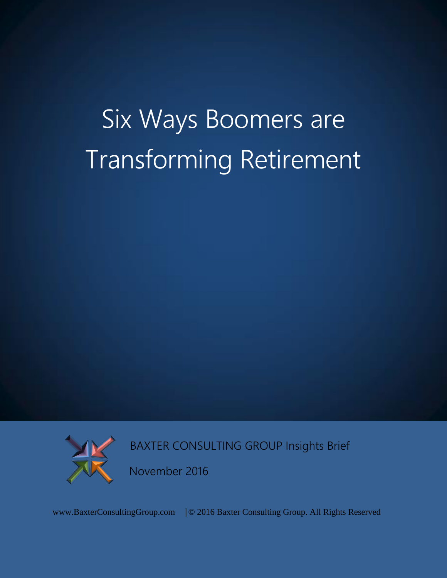# Six Ways Boomers are Transforming Retirement



BAXTER CONSULTING GROUP Insights Brief

November 2016

www.BaxterConsultingGroup.com | © 2016 Baxter Consulting Group. All Rights Reserved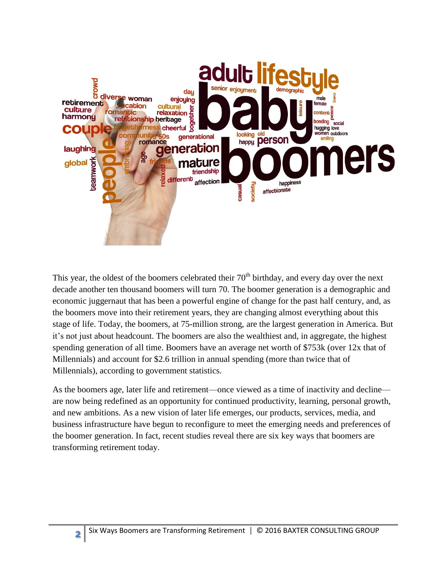

This year, the oldest of the boomers celebrated their  $70<sup>th</sup>$  birthday, and every day over the next decade another ten thousand boomers will turn 70. The boomer generation is a demographic and economic juggernaut that has been a powerful engine of change for the past half century, and, as the boomers move into their retirement years, they are changing almost everything about this stage of life. Today, the boomers, at 75-million strong, are the largest generation in America. But it's not just about headcount. The boomers are also the wealthiest and, in aggregate, the highest spending generation of all time. Boomers have an average net worth of \$753k (over 12x that of Millennials) and account for \$2.6 trillion in annual spending (more than twice that of Millennials), according to government statistics.

As the boomers age, later life and retirement—once viewed as a time of inactivity and decline are now being redefined as an opportunity for continued productivity, learning, personal growth, and new ambitions. As a new vision of later life emerges, our products, services, media, and business infrastructure have begun to reconfigure to meet the emerging needs and preferences of the boomer generation. In fact, recent studies reveal there are six key ways that boomers are transforming retirement today.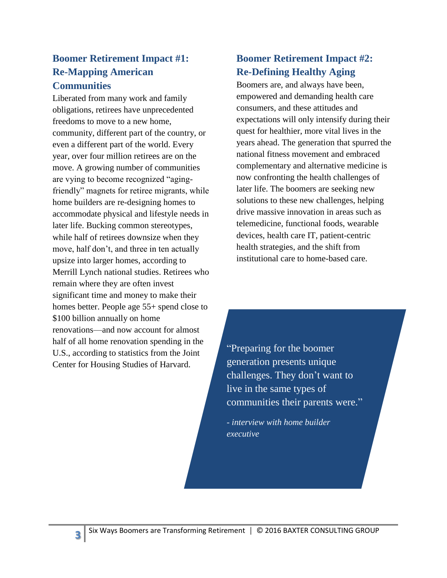#### **Boomer Retirement Impact #1: Re-Mapping American Communities**

Liberated from many work and family obligations, retirees have unprecedented freedoms to move to a new home, community, different part of the country, or even a different part of the world. Every year, over four million retirees are on the move. A growing number of communities are vying to become recognized "agingfriendly" magnets for retiree migrants, while home builders are re-designing homes to accommodate physical and lifestyle needs in later life. Bucking common stereotypes, while half of retirees downsize when they move, half don't, and three in ten actually upsize into larger homes, according to Merrill Lynch national studies. Retirees who remain where they are often invest significant time and money to make their homes better. People age 55+ spend close to \$100 billion annually on home renovations—and now account for almost half of all home renovation spending in the U.S., according to statistics from the Joint Center for Housing Studies of Harvard.

#### **Boomer Retirement Impact #2: Re-Defining Healthy Aging**

Boomers are, and always have been, empowered and demanding health care consumers, and these attitudes and expectations will only intensify during their quest for healthier, more vital lives in the years ahead. The generation that spurred the national fitness movement and embraced complementary and alternative medicine is now confronting the health challenges of later life. The boomers are seeking new solutions to these new challenges, helping drive massive innovation in areas such as telemedicine, functional foods, wearable devices, health care IT, patient-centric health strategies, and the shift from institutional care to home-based care.

"Preparing for the boomer generation presents unique challenges. They don't want to live in the same types of communities their parents were."

- *interview with home builder executive*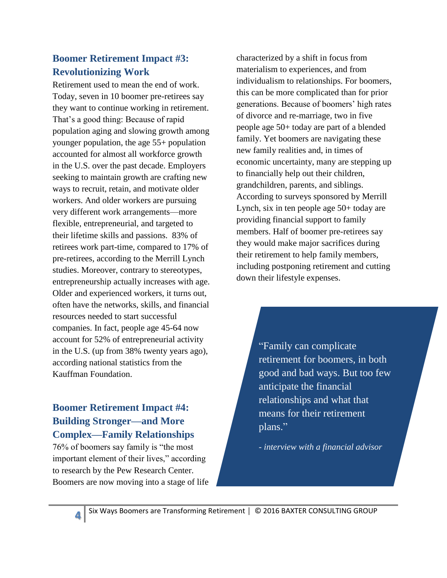#### **Boomer Retirement Impact #3: Revolutionizing Work**

Retirement used to mean the end of work. Today, seven in 10 boomer pre-retirees say they want to continue working in retirement. That's a good thing: Because of rapid population aging and slowing growth among younger population, the age 55+ population accounted for almost all workforce growth in the U.S. over the past decade. Employers seeking to maintain growth are crafting new ways to recruit, retain, and motivate older workers. And older workers are pursuing very different work arrangements—more flexible, entrepreneurial, and targeted to their lifetime skills and passions. 83% of retirees work part-time, compared to 17% of pre-retirees, according to the Merrill Lynch studies. Moreover, contrary to stereotypes, entrepreneurship actually increases with age. Older and experienced workers, it turns out, often have the networks, skills, and financial resources needed to start successful companies. In fact, people age 45-64 now account for 52% of entrepreneurial activity in the U.S. (up from 38% twenty years ago), according national statistics from the Kauffman Foundation.

## **Boomer Retirement Impact #4: Building Stronger—and More Complex—Family Relationships**

76% of boomers say family is "the most important element of their lives," according to research by the Pew Research Center. Boomers are now moving into a stage of life characterized by a shift in focus from materialism to experiences, and from individualism to relationships. For boomers, this can be more complicated than for prior generations. Because of boomers' high rates of divorce and re-marriage, two in five people age 50+ today are part of a blended family. Yet boomers are navigating these new family realities and, in times of economic uncertainty, many are stepping up to financially help out their children, grandchildren, parents, and siblings. According to surveys sponsored by Merrill Lynch, six in ten people age 50+ today are providing financial support to family members. Half of boomer pre-retirees say they would make major sacrifices during their retirement to help family members, including postponing retirement and cutting down their lifestyle expenses.

> "Family can complicate retirement for boomers, in both good and bad ways. But too few anticipate the financial relationships and what that means for their retirement plans."

- *interview with a financial advisor*

Six Ways Boomers are Transforming Retirement │ © 2016 BAXTER CONSULTING GROUP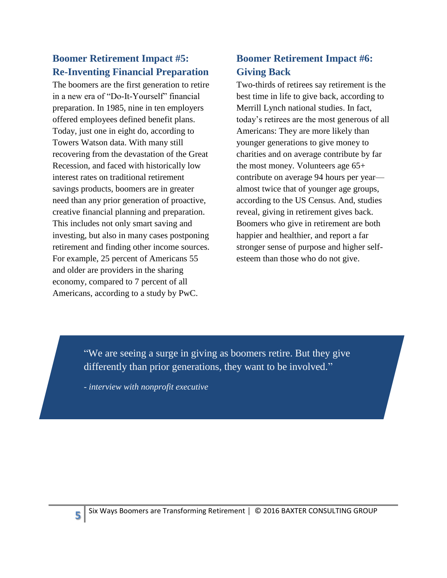## **Boomer Retirement Impact #5: Re-Inventing Financial Preparation**

The boomers are the first generation to retire in a new era of "Do-It-Yourself" financial preparation. In 1985, nine in ten employers offered employees defined benefit plans. Today, just one in eight do, according to Towers Watson data. With many still recovering from the devastation of the Great Recession, and faced with historically low interest rates on traditional retirement savings products, boomers are in greater need than any prior generation of proactive, creative financial planning and preparation. This includes not only smart saving and investing, but also in many cases postponing retirement and finding other income sources. For example, 25 percent of Americans 55 and older are providers in the sharing economy, compared to 7 percent of all Americans, according to a study by PwC.

## **Boomer Retirement Impact #6: Giving Back**

Two-thirds of retirees say retirement is the best time in life to give back, according to Merrill Lynch national studies. In fact, today's retirees are the most generous of all Americans: They are more likely than younger generations to give money to charities and on average contribute by far the most money. Volunteers age 65+ contribute on average 94 hours per year almost twice that of younger age groups, according to the US Census. And, studies reveal, giving in retirement gives back. Boomers who give in retirement are both happier and healthier, and report a far stronger sense of purpose and higher selfesteem than those who do not give.

"We are seeing a surge in giving as boomers retire. But they give differently than prior generations, they want to be involved."

- *interview with nonprofit executive*